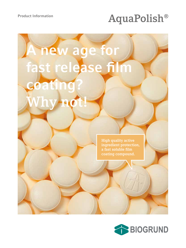# Product Information **AquaPolish®**

# **A new age for fast release film coating? Why not!**

**High quality active ingredient protection, a fast soluble film coating compound.**